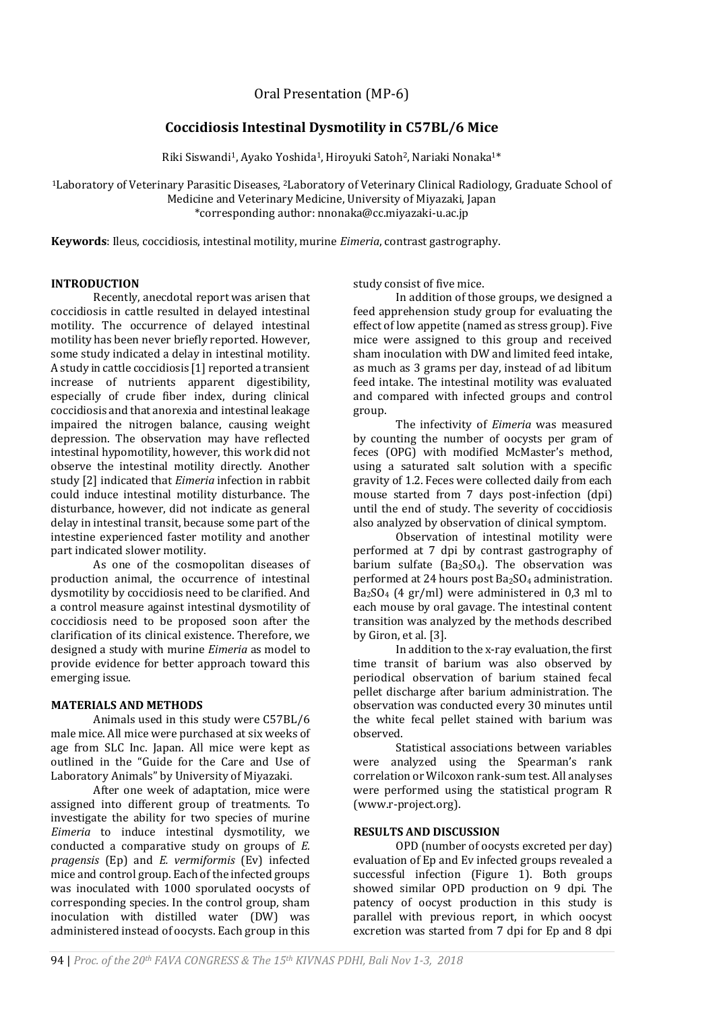Oral Presentation (MP-6)

# **Coccidiosis Intestinal Dysmotility in C57BL/6 Mice**

Riki Siswandi<sup>1</sup>, Ayako Yoshida<sup>1</sup>, Hiroyuki Satoh<sup>2</sup>, Nariaki Nonaka<sup>1\*</sup>

<sup>1</sup>Laboratory of Veterinary Parasitic Diseases, 2Laboratory of Veterinary Clinical Radiology, Graduate School of Medicine and Veterinary Medicine, University of Miyazaki, Japan \*corresponding author: nnonaka@cc.miyazaki-u.ac.jp

**Keywords**: Ileus, coccidiosis, intestinal motility, murine *Eimeria*, contrast gastrography.

#### **INTRODUCTION**

Recently, anecdotal report was arisen that coccidiosis in cattle resulted in delayed intestinal motility. The occurrence of delayed intestinal motility has been never briefly reported. However, some study indicated a delay in intestinal motility. A study in cattle coccidiosis [1] reported a transient increase of nutrients apparent digestibility, especially of crude fiber index, during clinical coccidiosis and that anorexia and intestinal leakage impaired the nitrogen balance, causing weight depression. The observation may have reflected intestinal hypomotility, however, this work did not observe the intestinal motility directly. Another study [2] indicated that *Eimeria* infection in rabbit could induce intestinal motility disturbance. The disturbance, however, did not indicate as general delay in intestinal transit, because some part of the intestine experienced faster motility and another part indicated slower motility.

As one of the cosmopolitan diseases of production animal, the occurrence of intestinal dysmotility by coccidiosis need to be clarified. And a control measure against intestinal dysmotility of coccidiosis need to be proposed soon after the clarification of its clinical existence. Therefore, we designed a study with murine *Eimeria* as model to provide evidence for better approach toward this emerging issue.

## **MATERIALS AND METHODS**

Animals used in this study were C57BL/6 male mice. All mice were purchased at six weeks of age from SLC Inc. Japan. All mice were kept as outlined in the "Guide for the Care and Use of Laboratory Animals" by University of Miyazaki.

After one week of adaptation, mice were assigned into different group of treatments. To investigate the ability for two species of murine *Eimeria* to induce intestinal dysmotility, we conducted a comparative study on groups of *E. pragensis* (Ep) and *E. vermiformis* (Ev) infected mice and control group. Each of the infected groups was inoculated with 1000 sporulated oocysts of corresponding species. In the control group, sham inoculation with distilled water (DW) was administered instead of oocysts. Each group in this

study consist of five mice.

In addition of those groups, we designed a feed apprehension study group for evaluating the effect of low appetite (named as stress group). Five mice were assigned to this group and received sham inoculation with DW and limited feed intake, as much as 3 grams per day, instead of ad libitum feed intake. The intestinal motility was evaluated and compared with infected groups and control group.

The infectivity of *Eimeria* was measured by counting the number of oocysts per gram of feces (OPG) with modified McMaster's method, using a saturated salt solution with a specific gravity of 1.2. Feces were collected daily from each mouse started from 7 days post-infection (dpi) until the end of study. The severity of coccidiosis also analyzed by observation of clinical symptom.

Observation of intestinal motility were performed at 7 dpi by contrast gastrography of barium sulfate ( $Ba<sub>2</sub>SO<sub>4</sub>$ ). The observation was performed at 24 hours post Ba2SO<sup>4</sup> administration. Ba2SO<sup>4</sup> (4 gr/ml) were administered in 0,3 ml to each mouse by oral gavage. The intestinal content transition was analyzed by the methods described by Giron, et al. [3].

In addition to the x-ray evaluation, the first time transit of barium was also observed by periodical observation of barium stained fecal pellet discharge after barium administration. The observation was conducted every 30 minutes until the white fecal pellet stained with barium was observed.

Statistical associations between variables were analyzed using the Spearman's rank correlation or Wilcoxon rank-sum test. All analyses were performed using the statistical program R (www.r-project.org).

## **RESULTS AND DISCUSSION**

OPD (number of oocysts excreted per day) evaluation of Ep and Ev infected groups revealed a successful infection (Figure 1). Both groups showed similar OPD production on 9 dpi. The patency of oocyst production in this study is parallel with previous report, in which oocyst excretion was started from 7 dpi for Ep and 8 dpi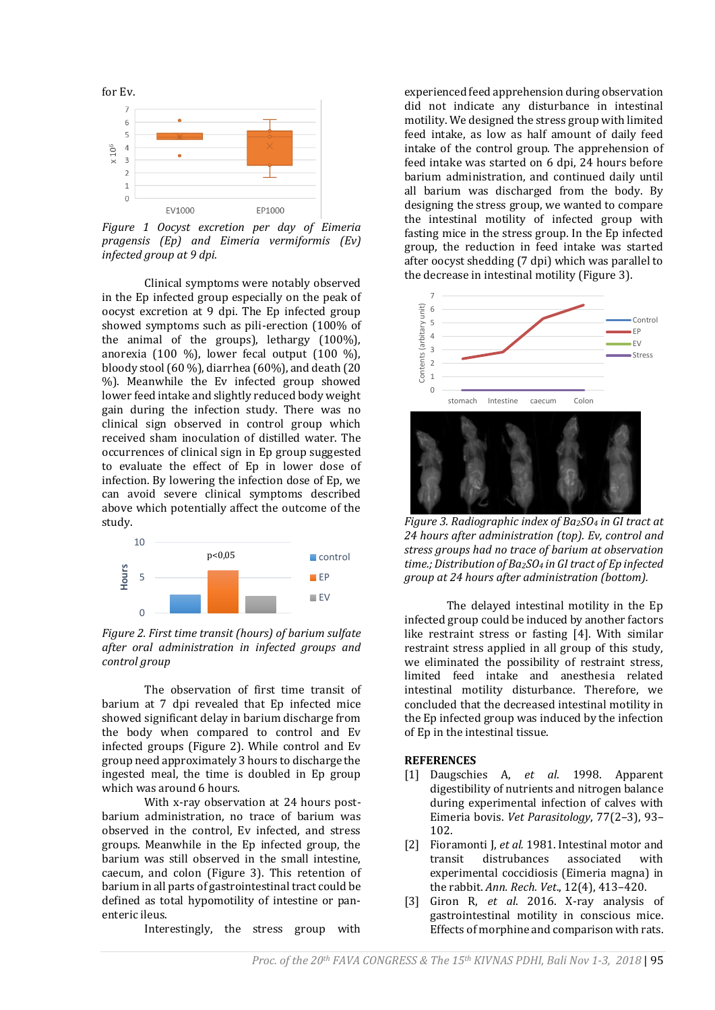

*Figure 1 Oocyst excretion per day of Eimeria pragensis (Ep) and Eimeria vermiformis (Ev) infected group at 9 dpi.* 

Clinical symptoms were notably observed in the Ep infected group especially on the peak of oocyst excretion at 9 dpi. The Ep infected group showed symptoms such as pili-erection (100% of the animal of the groups), lethargy (100%), anorexia (100 %), lower fecal output  $(100 \%)$ , bloody stool (60 %), diarrhea (60%), and death (20 %). Meanwhile the Ev infected group showed lower feed intake and slightly reduced body weight gain during the infection study. There was no clinical sign observed in control group which received sham inoculation of distilled water. The occurrences of clinical sign in Ep group suggested to evaluate the effect of Ep in lower dose of infection. By lowering the infection dose of Ep, we can avoid severe clinical symptoms described above which potentially affect the outcome of the study.



*Figure 2. First time transit (hours) of barium sulfate after oral administration in infected groups and control group* 

The observation of first time transit of barium at 7 dpi revealed that Ep infected mice showed significant delay in barium discharge from the body when compared to control and Ev infected groups (Figure 2). While control and Ev group need approximately 3 hours to discharge the ingested meal, the time is doubled in Ep group which was around 6 hours.

With x-ray observation at 24 hours postbarium administration, no trace of barium was observed in the control, Ev infected, and stress groups. Meanwhile in the Ep infected group, the barium was still observed in the small intestine, caecum, and colon (Figure 3). This retention of barium in all parts of gastrointestinal tract could be defined as total hypomotility of intestine or panenteric ileus.

Interestingly, the stress group with

experienced feed apprehension during observation did not indicate any disturbance in intestinal motility. We designed the stress group with limited feed intake, as low as half amount of daily feed intake of the control group. The apprehension of feed intake was started on 6 dpi, 24 hours before barium administration, and continued daily until all barium was discharged from the body. By designing the stress group, we wanted to compare the intestinal motility of infected group with fasting mice in the stress group. In the Ep infected group, the reduction in feed intake was started after oocyst shedding (7 dpi) which was parallel to the decrease in intestinal motility (Figure 3).



*Figure 3. Radiographic index of Ba2SO<sup>4</sup> in GI tract at 24 hours after administration (top). Ev, control and stress groups had no trace of barium at observation time.; Distribution of Ba2SO<sup>4</sup> in GI tract of Ep infected group at 24 hours after administration (bottom).*

The delayed intestinal motility in the Ep infected group could be induced by another factors like restraint stress or fasting [4]. With similar restraint stress applied in all group of this study, we eliminated the possibility of restraint stress, limited feed intake and anesthesia related intestinal motility disturbance. Therefore, we concluded that the decreased intestinal motility in the Ep infected group was induced by the infection of Ep in the intestinal tissue.

#### **REFERENCES**

- [1] Daugschies A, *et al*. 1998. Apparent digestibility of nutrients and nitrogen balance during experimental infection of calves with Eimeria bovis. *Vet Parasitology*, 77(2–3), 93– 102.
- [2] Fioramonti J, *et al.* 1981. Intestinal motor and transit distrubances associated with experimental coccidiosis (Eimeria magna) in the rabbit. *Ann. Rech. Vet*., 12(4), 413–420.
- [3] Giron R, *et al*. 2016. X-ray analysis of gastrointestinal motility in conscious mice. Effects of morphine and comparison with rats.